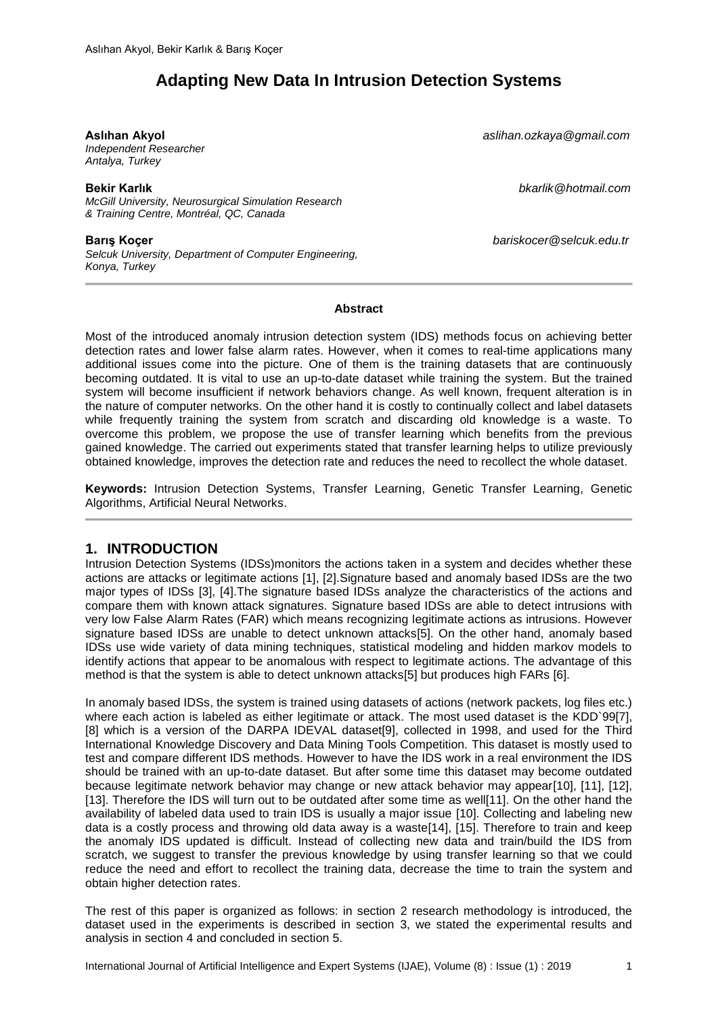# **Adapting New Data In Intrusion Detection Systems**

*Independent Researcher Antalya, Turkey*

*McGill University, Neurosurgical Simulation Research & Training Centre, Montréal, QC, Canada*

*Selcuk University, Department of Computer Engineering, Konya, Turkey*

**Aslıhan Akyol** *aslihan.ozkaya@gmail.com*

**Bekir Karlık** *bkarlik@hotmail.com*

**Barış Koçer** *bariskocer@selcuk.edu.tr*

#### **Abstract**

Most of the introduced anomaly intrusion detection system (IDS) methods focus on achieving better detection rates and lower false alarm rates. However, when it comes to real-time applications many additional issues come into the picture. One of them is the training datasets that are continuously becoming outdated. It is vital to use an up-to-date dataset while training the system. But the trained system will become insufficient if network behaviors change. As well known, frequent alteration is in the nature of computer networks. On the other hand it is costly to continually collect and label datasets while frequently training the system from scratch and discarding old knowledge is a waste. To overcome this problem, we propose the use of transfer learning which benefits from the previous gained knowledge. The carried out experiments stated that transfer learning helps to utilize previously obtained knowledge, improves the detection rate and reduces the need to recollect the whole dataset.

**Keywords:** Intrusion Detection Systems, Transfer Learning, Genetic Transfer Learning, Genetic Algorithms, Artificial Neural Networks.

## **1. INTRODUCTION**

Intrusion Detection Systems (IDSs)monitors the actions taken in a system and decides whether these actions are attacks or legitimate actions [1], [2].Signature based and anomaly based IDSs are the two major types of IDSs [3], [4].The signature based IDSs analyze the characteristics of the actions and compare them with known attack signatures. Signature based IDSs are able to detect intrusions with very low False Alarm Rates (FAR) which means recognizing legitimate actions as intrusions. However signature based IDSs are unable to detect unknown attacks[5]. On the other hand, anomaly based IDSs use wide variety of data mining techniques, statistical modeling and hidden markov models to identify actions that appear to be anomalous with respect to legitimate actions. The advantage of this method is that the system is able to detect unknown attacks[5] but produces high FARs [6].

In anomaly based IDSs, the system is trained using datasets of actions (network packets, log files etc.) where each action is labeled as either legitimate or attack. The most used dataset is the KDD`99[7], [8] which is a version of the DARPA IDEVAL dataset[9], collected in 1998, and used for the Third International Knowledge Discovery and Data Mining Tools Competition. This dataset is mostly used to test and compare different IDS methods. However to have the IDS work in a real environment the IDS should be trained with an up-to-date dataset. But after some time this dataset may become outdated because legitimate network behavior may change or new attack behavior may appear[10], [11], [12], [13]. Therefore the IDS will turn out to be outdated after some time as well[11]. On the other hand the availability of labeled data used to train IDS is usually a major issue [10]. Collecting and labeling new data is a costly process and throwing old data away is a waste[14], [15]. Therefore to train and keep the anomaly IDS updated is difficult. Instead of collecting new data and train/build the IDS from scratch, we suggest to transfer the previous knowledge by using transfer learning so that we could reduce the need and effort to recollect the training data, decrease the time to train the system and obtain higher detection rates.

The rest of this paper is organized as follows: in section [2](#page-1-0) research methodology is introduced, the dataset used in the experiments is described in section [3,](#page-3-0) we stated the experimental results and analysis in section [4](#page-3-1) and concluded in section [5.](#page-8-0)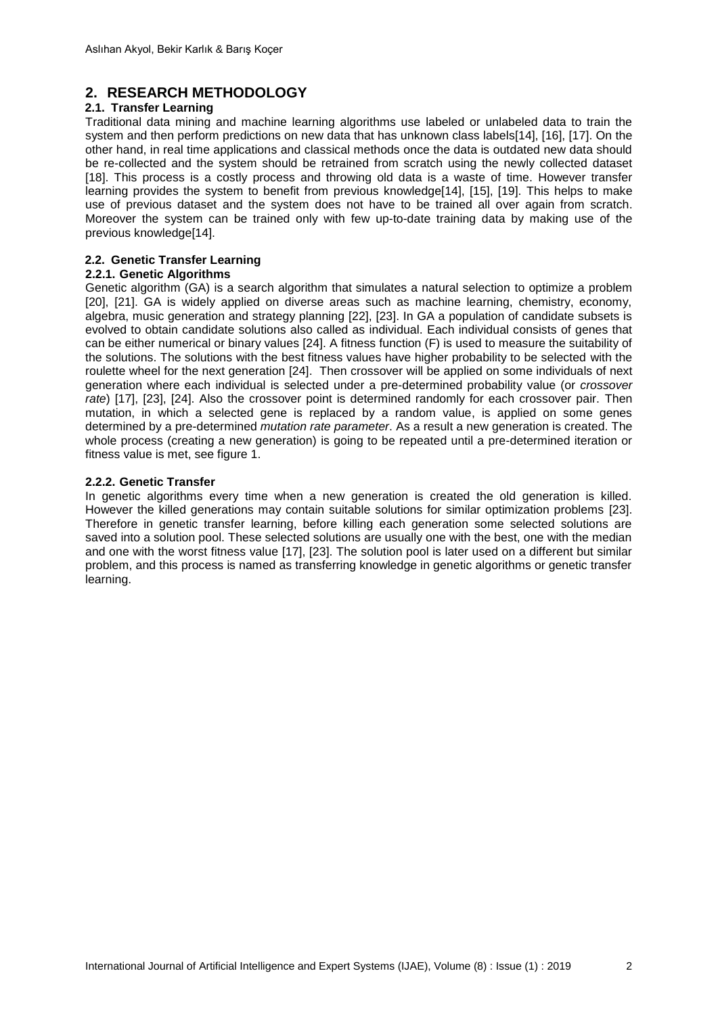## <span id="page-1-0"></span>**2. RESEARCH METHODOLOGY**

### **2.1. Transfer Learning**

Traditional data mining and machine learning algorithms use labeled or unlabeled data to train the system and then perform predictions on new data that has unknown class labels[14], [16], [17]. On the other hand, in real time applications and classical methods once the data is outdated new data should be re-collected and the system should be retrained from scratch using the newly collected dataset [18]. This process is a costly process and throwing old data is a waste of time. However transfer learning provides the system to benefit from previous knowledge[14], [15], [19]. This helps to make use of previous dataset and the system does not have to be trained all over again from scratch. Moreover the system can be trained only with few up-to-date training data by making use of the previous knowledge[14].

### **2.2. Genetic Transfer Learning**

#### **2.2.1. Genetic Algorithms**

Genetic algorithm (GA) is a search algorithm that simulates a natural selection to optimize a problem [20], [21]. GA is widely applied on diverse areas such as machine learning, chemistry, economy, algebra, music generation and strategy planning [22], [23]. In GA a population of candidate subsets is evolved to obtain candidate solutions also called as individual. Each individual consists of genes that can be either numerical or binary values [24]. A fitness function (F) is used to measure the suitability of the solutions. The solutions with the best fitness values have higher probability to be selected with the roulette wheel for the next generation [24]. Then crossover will be applied on some individuals of next generation where each individual is selected under a pre-determined probability value (or *crossover rate*) [17], [23], [24]. Also the crossover point is determined randomly for each crossover pair. Then mutation, in which a selected gene is replaced by a random value, is applied on some genes determined by a pre-determined *mutation rate parameter*. As a result a new generation is created. The whole process (creating a new generation) is going to be repeated until a pre-determined iteration or fitness value is met, see figure 1.

### **2.2.2. Genetic Transfer**

In genetic algorithms every time when a new generation is created the old generation is killed. However the killed generations may contain suitable solutions for similar optimization problems [23]. Therefore in genetic transfer learning, before killing each generation some selected solutions are saved into a solution pool. These selected solutions are usually one with the best, one with the median and one with the worst fitness value [17], [23]. The solution pool is later used on a different but similar problem, and this process is named as transferring knowledge in genetic algorithms or genetic transfer learning.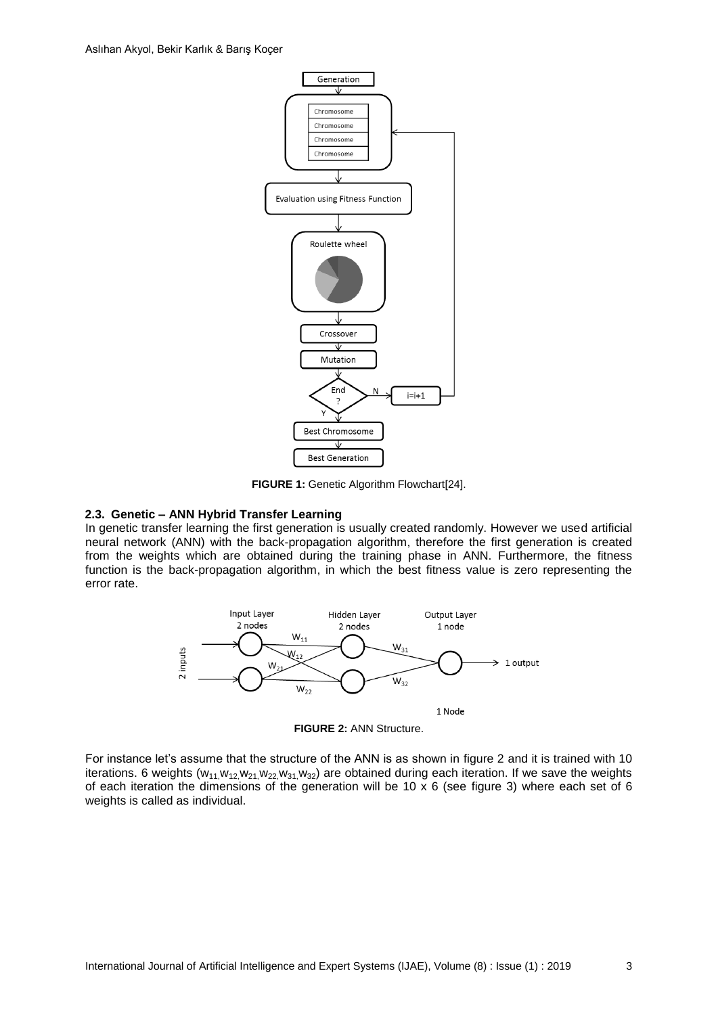

**FIGURE 1:** Genetic Algorithm Flowchart[24].

#### **2.3. Genetic – ANN Hybrid Transfer Learning**

In genetic transfer learning the first generation is usually created randomly. However we used artificial neural network (ANN) with the back-propagation algorithm, therefore the first generation is created from the weights which are obtained during the training phase in ANN. Furthermore, the fitness function is the back-propagation algorithm, in which the best fitness value is zero representing the error rate.



**FIGURE 2:** ANN Structure.

For instance let's assume that the structure of the ANN is as shown in figure 2 and it is trained with 10 iterations. 6 weights  $(w_{11},w_{12},w_{21},w_{22},w_{31},w_{32})$  are obtained during each iteration. If we save the weights of each iteration the dimensions of the generation will be 10 x 6 (see figure 3) where each set of 6 weights is called as individual.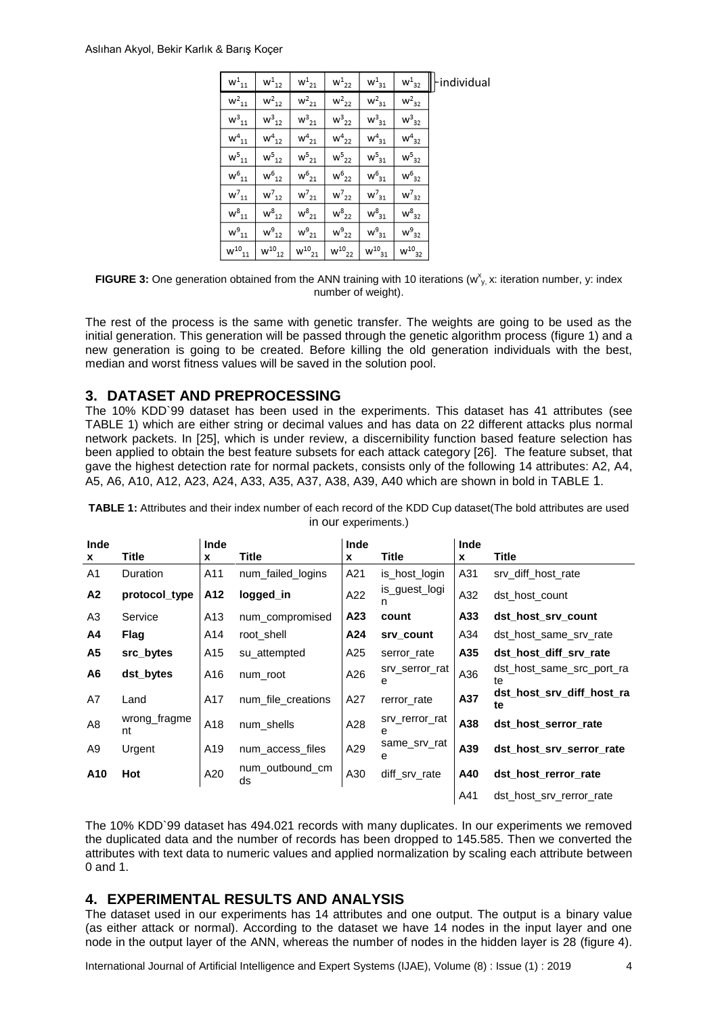| $\mathsf{w}^{\mathtt{1}}_{\mathtt{1}\mathtt{1}}$ | $\mathsf{w}^1_{12}$   | $\mathsf{w}^1_{21}$ | $W^1_{22}$          | $\mathsf{w}^{\mathsf{1}}_{\mathsf{31}}$ | $\mathsf{w}^1{}_{32}$                     | individual |
|--------------------------------------------------|-----------------------|---------------------|---------------------|-----------------------------------------|-------------------------------------------|------------|
| $w^2_{11}$                                       | $\mathsf{w}^2{}_{12}$ | $\mathsf{w}^2_{21}$ | $\mathsf{w}^2_{22}$ | $\mathsf{w}^2_{31}$                     | $\rm w^2_{32}$                            |            |
| $\mathsf{w}^3{}_{11}$                            | $w_{12}^3$            | $w_{21}^3$          | $\mathsf{w^3}_{22}$ | $w_{31}^3$                              | $w_{32}^3$                                |            |
| $\mathsf{w}^4_{\ 11}$                            | $w^4_{12}$            | $w^4_{21}$          | $w^4_{22}$          | $\mathsf{w}^4{}_{31}$                   | $w^4_{32}$                                |            |
| $w_{11}^5$                                       | $\mathsf{w^5}_{12}$   | $w^5_{21}$          | $w^5_{22}$          | $w^5_{31}$                              | $w_{32}^5$                                |            |
| $\mathsf{w}^6{}_{11}$                            | $w_{12}^6$            | $\mathsf{w^6}_{21}$ | $w^6_{22}$          | $\mathsf{w}^6{}_{31}$                   | $w6_{32}$                                 |            |
| $w_{11}^7$                                       | $w_{12}^7$            | $w_{21}^7$          | $w_{22}^7$          | $w_{31}^7$                              | $w_{32}^7$                                |            |
| $w_{11}^8$                                       | $w_{12}^8$            | $w^8_{21}$          | $w^8_{22}$          | $w_{31}^8$                              | $\text{w}^{\text{8}}_{\text{32}}$         |            |
| $w^9_{11}$                                       | $w^9_{12}$            | $\mathsf{w^9}_{21}$ | $\mathsf{w^9}_{22}$ | $\mathsf{w}^{\mathsf{g}}_{\,\,31}$      | $\mathsf{w}^{\mathsf{g}}_{\;\mathsf{32}}$ |            |
| $W^{10}_{11}$                                    | $w^{10}{}_{12}$       | $w^{10}_{21}$       | $W^{10}_{22}$       | $\mathsf{w}^{10}{}_{31}$                | $W^{10}_{32}$                             |            |

**FIGURE 3:** One generation obtained from the ANN training with 10 iterations ( $w_{y}^x$  x: iteration number, y: index number of weight).

The rest of the process is the same with genetic transfer. The weights are going to be used as the initial generation. This generation will be passed through the genetic algorithm process (figure 1) and a new generation is going to be created. Before killing the old generation individuals with the best, median and worst fitness values will be saved in the solution pool.

## <span id="page-3-0"></span>**3. DATASET AND PREPROCESSING**

The 10% KDD`99 dataset has been used in the experiments. This dataset has 41 attributes (see [TABLE 1\)](#page-3-2) which are either string or decimal values and has data on 22 different attacks plus normal network packets. In [25], which is under review, a discernibility function based feature selection has been applied to obtain the best feature subsets for each attack category [26]. The feature subset, that gave the highest detection rate for normal packets, consists only of the following 14 attributes: A2, A4, A5, A6, A10, A12, A23, A24, A33, A35, A37, A38, A39, A40 which are shown in bold in [TABLE](#page-3-2) 1.

| Inde<br>X      | Title              | Inde<br>$\boldsymbol{x}$ | Title                 | Inde<br>x | Title               | Inde<br>X | Title                           |
|----------------|--------------------|--------------------------|-----------------------|-----------|---------------------|-----------|---------------------------------|
| A <sub>1</sub> | Duration           | A11                      | num_failed_logins     | A21       | is_host_login       | A31       | srv_diff_host_rate              |
| A2             | protocol_type      | A12                      | logged in             | A22       | is_guest_logi<br>n  | A32       | dst host count                  |
| A3             | Service            | A13                      | num_compromised       | A23       | count               | A33       | dst host srv count              |
| A4             | <b>Flag</b>        | A14                      | root shell            | A24       | srv count           | A34       | dst host same srv rate          |
| A5             | src_bytes          | A15                      | su_attempted          | A25       | serror_rate         | A35       | dst host diff srv rate          |
| A6             | dst_bytes          | A16                      | num root              | A26       | srv_serror_rat<br>е | A36       | dst host same src port ra<br>te |
| A7             | Land               | A17                      | num file creations    | A27       | rerror_rate         | A37       | dst host srv diff host ra<br>te |
| A <sub>8</sub> | wrong_fragme<br>nt | A18                      | num shells            | A28       | srv_rerror_rat<br>е | A38       | dst host serror rate            |
| A9             | Urgent             | A19                      | num access files      | A29       | same_srv_rat<br>е   | A39       | dst_host_srv_serror_rate        |
| A10            | Hot                | A20                      | num_outbound_cm<br>ds | A30       | diff srv rate       | A40       | dst_host_rerror_rate            |
|                |                    |                          |                       |           |                     | A41       | dst host srv rerror rate        |

<span id="page-3-2"></span>**TABLE 1:** Attributes and their index number of each record of the KDD Cup dataset(The bold attributes are used in our experiments.)

The 10% KDD`99 dataset has 494.021 records with many duplicates. In our experiments we removed the duplicated data and the number of records has been dropped to 145.585. Then we converted the attributes with text data to numeric values and applied normalization by scaling each attribute between 0 and 1.

## <span id="page-3-1"></span>**4. EXPERIMENTAL RESULTS AND ANALYSIS**

The dataset used in our experiments has 14 attributes and one output. The output is a binary value (as either attack or normal). According to the dataset we have 14 nodes in the input layer and one node in the output layer of the ANN, whereas the number of nodes in the hidden layer is 28 (figure 4).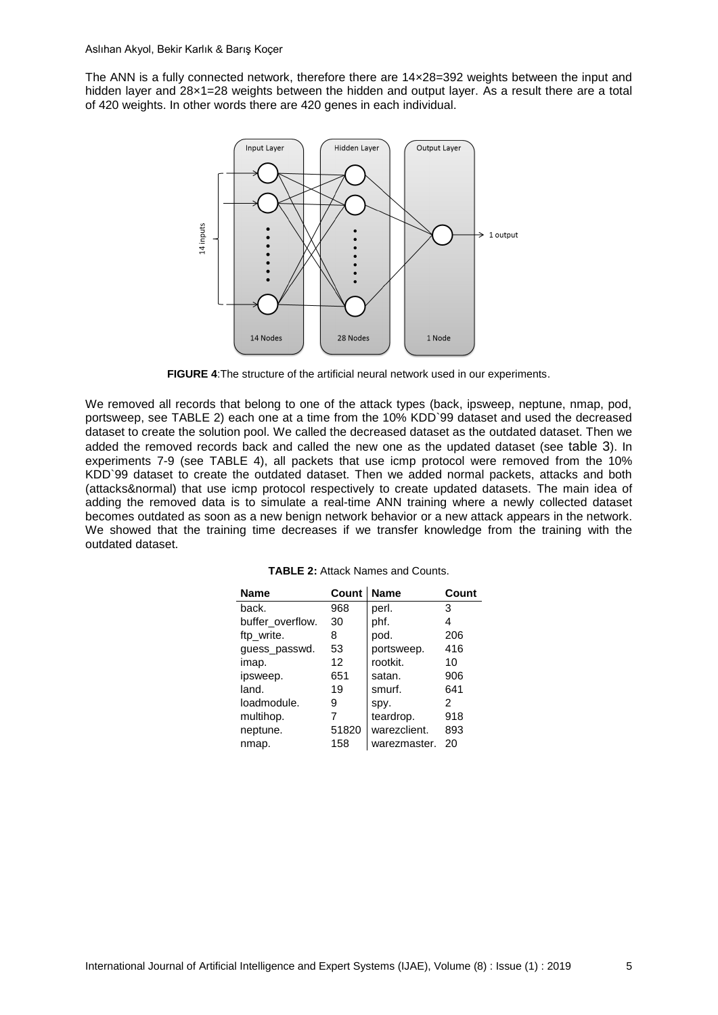The ANN is a fully connected network, therefore there are 14×28=392 weights between the input and hidden layer and 28×1=28 weights between the hidden and output layer. As a result there are a total of 420 weights. In other words there are 420 genes in each individual.



**FIGURE 4**:The structure of the artificial neural network used in our experiments.

We removed all records that belong to one of the attack types (back, ipsweep, neptune, nmap, pod, portsweep, see [TABLE 2\)](#page-4-0) each one at a time from the 10% KDD`99 dataset and used the decreased dataset to create the solution pool. We called the decreased dataset as the outdated dataset. Then we added the removed records back and called the new one as the updated dataset (see table 3). In experiments 7-9 (see [TABLE 4\)](#page-5-0), all packets that use icmp protocol were removed from the 10% KDD`99 dataset to create the outdated dataset. Then we added normal packets, attacks and both (attacks&normal) that use icmp protocol respectively to create updated datasets. The main idea of adding the removed data is to simulate a real-time ANN training where a newly collected dataset becomes outdated as soon as a new benign network behavior or a new attack appears in the network. We showed that the training time decreases if we transfer knowledge from the training with the outdated dataset.

<span id="page-4-0"></span>

| <b>Name</b>      | Count | <b>Name</b>  | Count |
|------------------|-------|--------------|-------|
| back.            | 968   | perl.        | 3     |
| buffer overflow. | 30    | phf.         | 4     |
| ftp_write.       | 8     | pod.         | 206   |
| guess_passwd.    | 53    | portsweep.   | 416   |
| imap.            | 12    | rootkit.     | 10    |
| ipsweep.         | 651   | satan.       | 906   |
| land.            | 19    | smurf.       | 641   |
| loadmodule.      | 9     | spy.         | 2     |
| multihop.        | 7     | teardrop.    | 918   |
| neptune.         | 51820 | warezclient. | 893   |
| nmap.            | 158   | warezmaster. | 20    |

**TABLE 2:** Attack Names and Counts.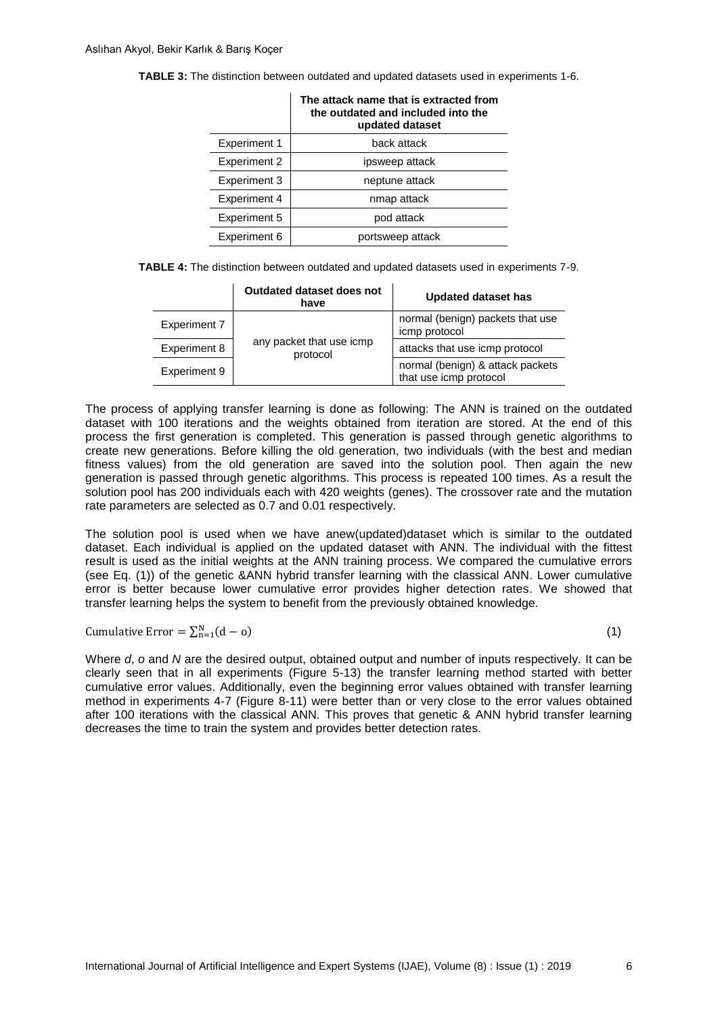**TABLE 3:** The distinction between outdated and updated datasets used in experiments 1-6.

|                     | The attack name that is extracted from<br>the outdated and included into the<br>updated dataset |
|---------------------|-------------------------------------------------------------------------------------------------|
| <b>Experiment 1</b> | back attack                                                                                     |
| <b>Experiment 2</b> | ipsweep attack                                                                                  |
| Experiment 3        | neptune attack                                                                                  |
| <b>Experiment 4</b> | nmap attack                                                                                     |
| Experiment 5        | pod attack                                                                                      |
| <b>Experiment 6</b> | portsweep attack                                                                                |

<span id="page-5-0"></span>**TABLE 4:** The distinction between outdated and updated datasets used in experiments 7-9.

|              | Outdated dataset does not<br>have    | Updated dataset has                                        |  |
|--------------|--------------------------------------|------------------------------------------------------------|--|
| Experiment 7 |                                      | normal (benign) packets that use<br>icmp protocol          |  |
| Experiment 8 | any packet that use icmp<br>protocol | attacks that use icmp protocol                             |  |
| Experiment 9 |                                      | normal (benign) & attack packets<br>that use icmp protocol |  |

The process of applying transfer learning is done as following: The ANN is trained on the outdated dataset with 100 iterations and the weights obtained from iteration are stored. At the end of this process the first generation is completed. This generation is passed through genetic algorithms to create new generations. Before killing the old generation, two individuals (with the best and median fitness values) from the old generation are saved into the solution pool. Then again the new generation is passed through genetic algorithms. This process is repeated 100 times. As a result the solution pool has 200 individuals each with 420 weights (genes). The crossover rate and the mutation rate parameters are selected as 0.7 and 0.01 respectively.

The solution pool is used when we have anew(updated)dataset which is similar to the outdated dataset. Each individual is applied on the updated dataset with ANN. The individual with the fittest result is used as the initial weights at the ANN training process. We compared the cumulative errors (see Eq. (1)) of the genetic &ANN hybrid transfer learning with the classical ANN. Lower cumulative error is better because lower cumulative error provides higher detection rates. We showed that transfer learning helps the system to benefit from the previously obtained knowledge.

Cumulative Error =  $\Sigma_n^N$ 

(1)

Where *d*, *o* and *N* are the desired output, obtained output and number of inputs respectively. It can be clearly seen that in all experiments (Figure 5-13) the transfer learning method started with better cumulative error values. Additionally, even the beginning error values obtained with transfer learning method in experiments 4-7 (Figure 8-11) were better than or very close to the error values obtained after 100 iterations with the classical ANN. This proves that genetic & ANN hybrid transfer learning decreases the time to train the system and provides better detection rates.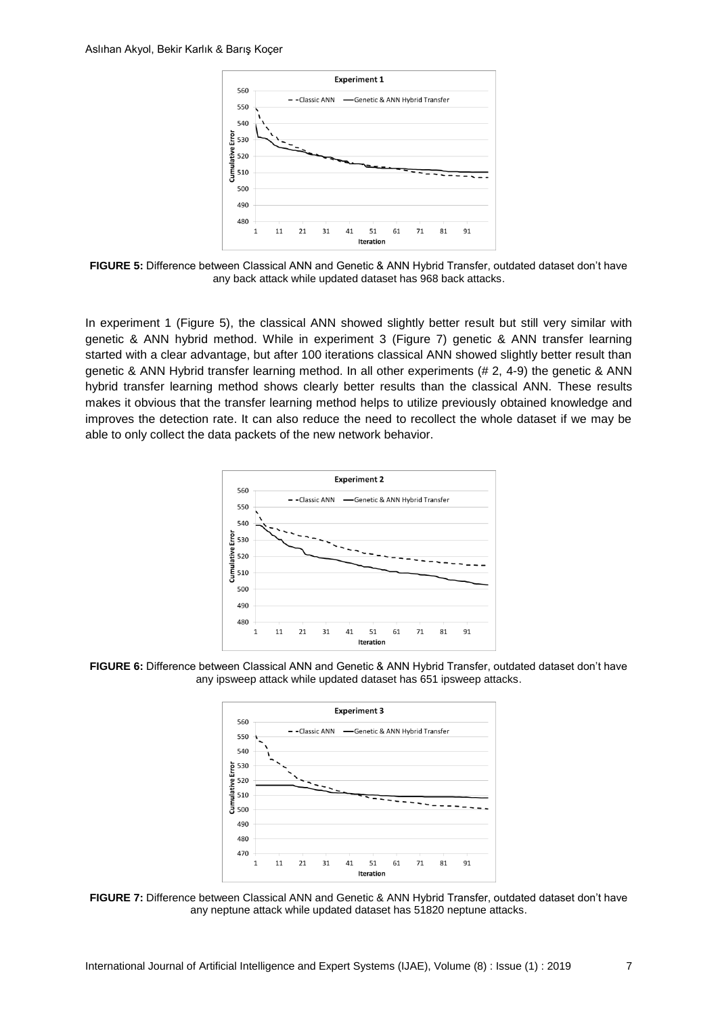

**FIGURE 5:** Difference between Classical ANN and Genetic & ANN Hybrid Transfer, outdated dataset don't have any back attack while updated dataset has 968 back attacks.

In experiment 1 (Figure 5), the classical ANN showed slightly better result but still very similar with genetic & ANN hybrid method. While in experiment 3 (Figure 7) genetic & ANN transfer learning started with a clear advantage, but after 100 iterations classical ANN showed slightly better result than genetic & ANN Hybrid transfer learning method. In all other experiments (# 2, 4-9) the genetic & ANN hybrid transfer learning method shows clearly better results than the classical ANN. These results makes it obvious that the transfer learning method helps to utilize previously obtained knowledge and improves the detection rate. It can also reduce the need to recollect the whole dataset if we may be able to only collect the data packets of the new network behavior.



**FIGURE 6:** Difference between Classical ANN and Genetic & ANN Hybrid Transfer, outdated dataset don't have any ipsweep attack while updated dataset has 651 ipsweep attacks.



**FIGURE 7:** Difference between Classical ANN and Genetic & ANN Hybrid Transfer, outdated dataset don't have any neptune attack while updated dataset has 51820 neptune attacks.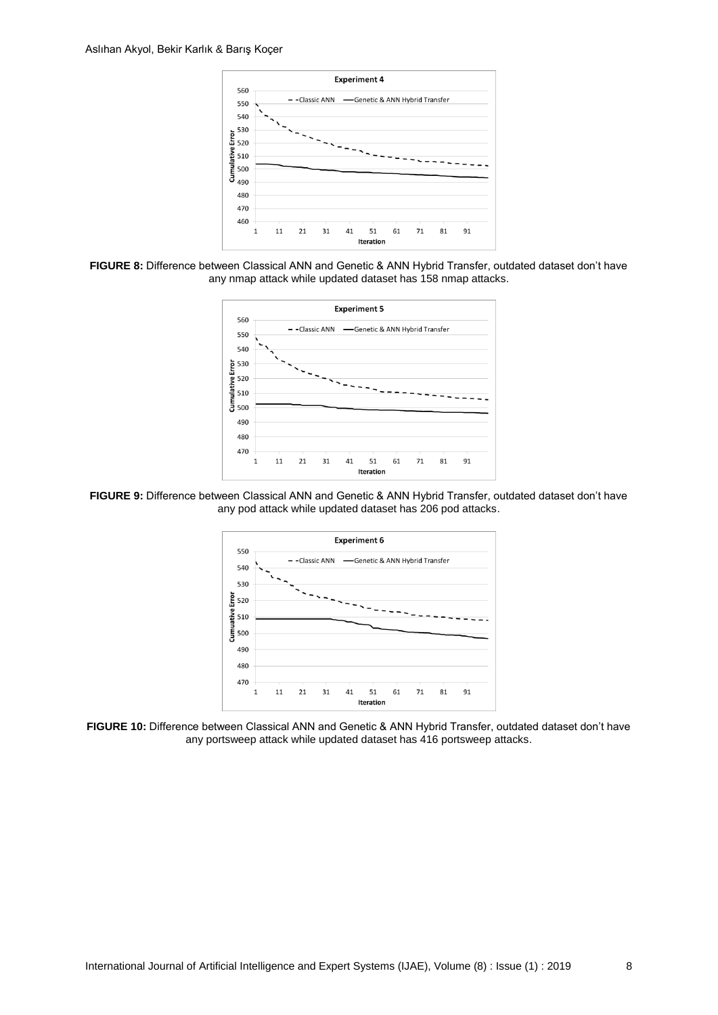

**FIGURE 8:** Difference between Classical ANN and Genetic & ANN Hybrid Transfer, outdated dataset don't have any nmap attack while updated dataset has 158 nmap attacks.



**FIGURE 9:** Difference between Classical ANN and Genetic & ANN Hybrid Transfer, outdated dataset don't have any pod attack while updated dataset has 206 pod attacks.



**FIGURE 10:** Difference between Classical ANN and Genetic & ANN Hybrid Transfer, outdated dataset don't have any portsweep attack while updated dataset has 416 portsweep attacks.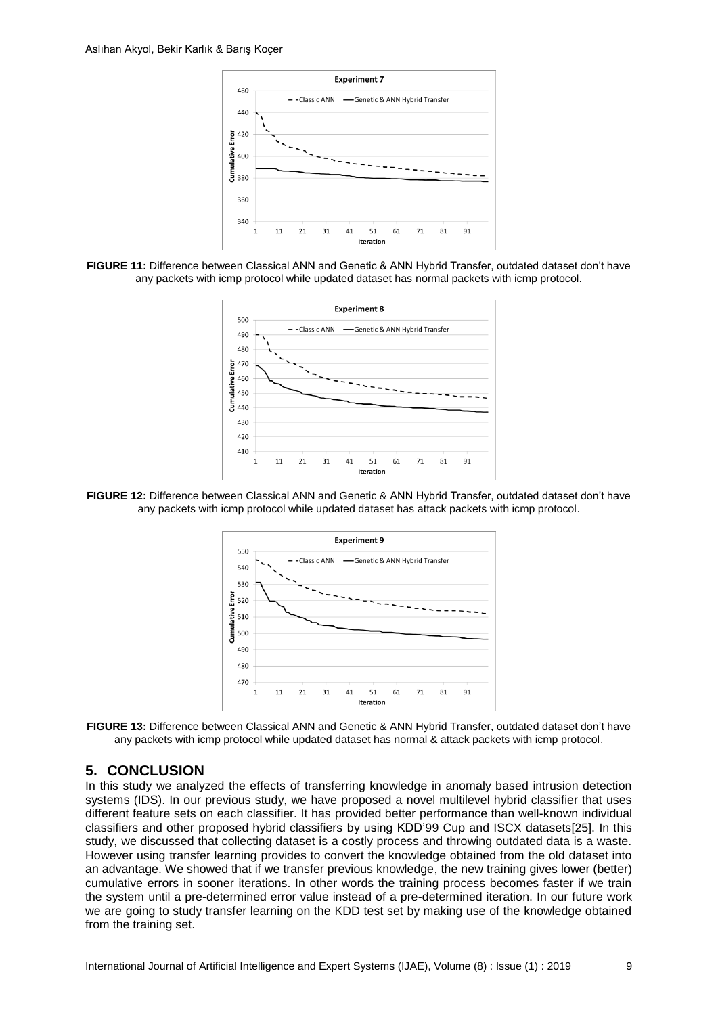

**FIGURE 11:** Difference between Classical ANN and Genetic & ANN Hybrid Transfer, outdated dataset don't have any packets with icmp protocol while updated dataset has normal packets with icmp protocol.



**FIGURE 12:** Difference between Classical ANN and Genetic & ANN Hybrid Transfer, outdated dataset don't have any packets with icmp protocol while updated dataset has attack packets with icmp protocol.



**FIGURE 13:** Difference between Classical ANN and Genetic & ANN Hybrid Transfer, outdated dataset don't have any packets with icmp protocol while updated dataset has normal & attack packets with icmp protocol.

### <span id="page-8-0"></span>**5. CONCLUSION**

In this study we analyzed the effects of transferring knowledge in anomaly based intrusion detection systems (IDS). In our previous study, we have proposed a novel multilevel hybrid classifier that uses different feature sets on each classifier. It has provided better performance than well-known individual classifiers and other proposed hybrid classifiers by using KDD'99 Cup and ISCX datasets[25]. In this study, we discussed that collecting dataset is a costly process and throwing outdated data is a waste. However using transfer learning provides to convert the knowledge obtained from the old dataset into an advantage. We showed that if we transfer previous knowledge, the new training gives lower (better) cumulative errors in sooner iterations. In other words the training process becomes faster if we train the system until a pre-determined error value instead of a pre-determined iteration. In our future work we are going to study transfer learning on the KDD test set by making use of the knowledge obtained from the training set.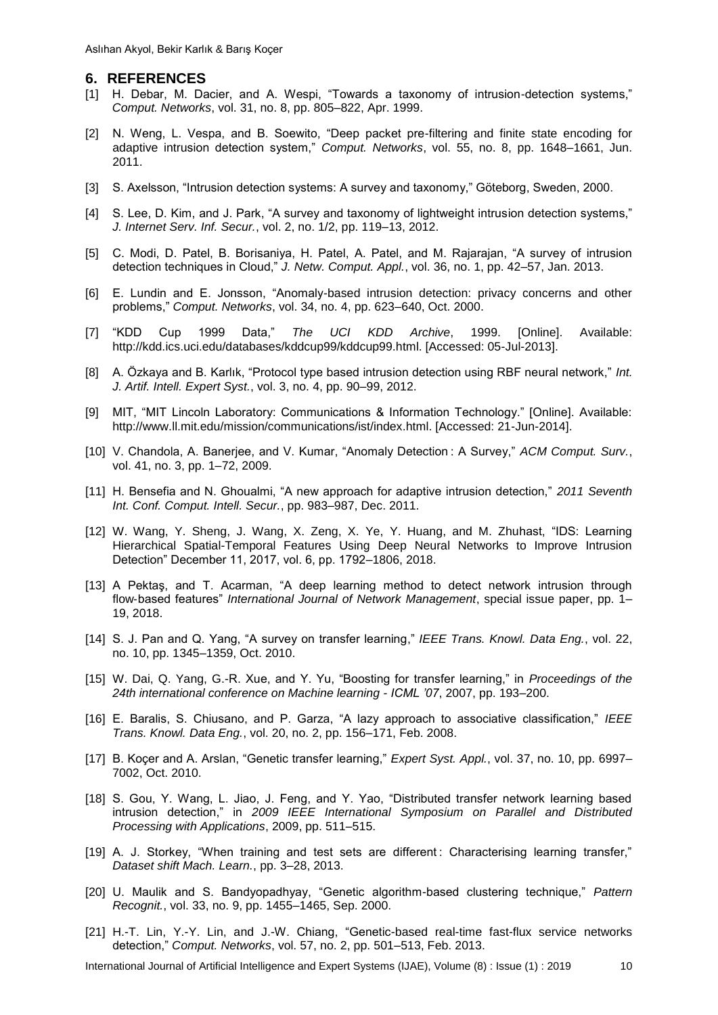### **6. REFERENCES**

- [1] H. Debar, M. Dacier, and A. Wespi, "Towards a taxonomy of intrusion-detection systems," *Comput. Networks*, vol. 31, no. 8, pp. 805–822, Apr. 1999.
- [2] N. Weng, L. Vespa, and B. Soewito, "Deep packet pre-filtering and finite state encoding for adaptive intrusion detection system," *Comput. Networks*, vol. 55, no. 8, pp. 1648–1661, Jun. 2011.
- [3] S. Axelsson, "Intrusion detection systems: A survey and taxonomy," Göteborg, Sweden, 2000.
- [4] S. Lee, D. Kim, and J. Park, "A survey and taxonomy of lightweight intrusion detection systems," *J. Internet Serv. Inf. Secur.*, vol. 2, no. 1/2, pp. 119–13, 2012.
- [5] C. Modi, D. Patel, B. Borisaniya, H. Patel, A. Patel, and M. Rajarajan, "A survey of intrusion detection techniques in Cloud," *J. Netw. Comput. Appl.*, vol. 36, no. 1, pp. 42–57, Jan. 2013.
- [6] E. Lundin and E. Jonsson, "Anomaly-based intrusion detection: privacy concerns and other problems," *Comput. Networks*, vol. 34, no. 4, pp. 623–640, Oct. 2000.
- [7] "KDD Cup 1999 Data," *The UCI KDD Archive*, 1999. [Online]. Available: http://kdd.ics.uci.edu/databases/kddcup99/kddcup99.html. [Accessed: 05-Jul-2013].
- [8] A. Özkaya and B. Karlık, "Protocol type based intrusion detection using RBF neural network," *Int. J. Artif. Intell. Expert Syst.*, vol. 3, no. 4, pp. 90–99, 2012.
- [9] MIT, "MIT Lincoln Laboratory: Communications & Information Technology." [Online]. Available: http://www.ll.mit.edu/mission/communications/ist/index.html. [Accessed: 21-Jun-2014].
- [10] V. Chandola, A. Banerjee, and V. Kumar, "Anomaly Detection : A Survey," *ACM Comput. Surv.*, vol. 41, no. 3, pp. 1–72, 2009.
- [11] H. Bensefia and N. Ghoualmi, "A new approach for adaptive intrusion detection," *2011 Seventh Int. Conf. Comput. Intell. Secur.*, pp. 983–987, Dec. 2011.
- [12] W. Wang, Y. Sheng, J. Wang, X. Zeng, X. Ye, Y. Huang, and M. Zhuhast, "IDS: Learning Hierarchical Spatial-Temporal Features Using Deep Neural Networks to Improve Intrusion Detection" December 11, 2017, vol. 6, pp. 1792–1806, 2018.
- [13] A Pektaş, and T. Acarman, "A deep learning method to detect network intrusion through flow‐based features" *International Journal of Network Management*, special issue paper, pp. 1– 19, 2018.
- [14] S. J. Pan and Q. Yang, "A survey on transfer learning," *IEEE Trans. Knowl. Data Eng.*, vol. 22, no. 10, pp. 1345–1359, Oct. 2010.
- [15] W. Dai, Q. Yang, G.-R. Xue, and Y. Yu, "Boosting for transfer learning," in *Proceedings of the 24th international conference on Machine learning - ICML '07*, 2007, pp. 193–200.
- [16] E. Baralis, S. Chiusano, and P. Garza, "A lazy approach to associative classification," *IEEE Trans. Knowl. Data Eng.*, vol. 20, no. 2, pp. 156–171, Feb. 2008.
- [17] B. Koçer and A. Arslan, "Genetic transfer learning," *Expert Syst. Appl.*, vol. 37, no. 10, pp. 6997– 7002, Oct. 2010.
- [18] S. Gou, Y. Wang, L. Jiao, J. Feng, and Y. Yao, "Distributed transfer network learning based intrusion detection," in *2009 IEEE International Symposium on Parallel and Distributed Processing with Applications*, 2009, pp. 511–515.
- [19] A. J. Storkey, "When training and test sets are different; Characterising learning transfer." *Dataset shift Mach. Learn.*, pp. 3–28, 2013.
- [20] U. Maulik and S. Bandyopadhyay, "Genetic algorithm-based clustering technique," *Pattern Recognit.*, vol. 33, no. 9, pp. 1455–1465, Sep. 2000.
- [21] H.-T. Lin, Y.-Y. Lin, and J.-W. Chiang, "Genetic-based real-time fast-flux service networks detection," *Comput. Networks*, vol. 57, no. 2, pp. 501–513, Feb. 2013.